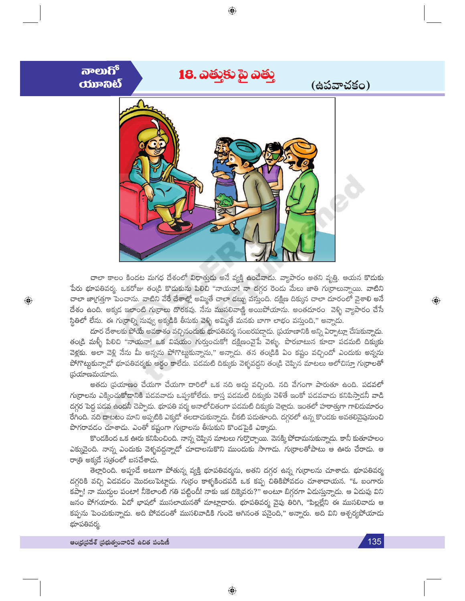

⊕

చాలా కాలం కిందట మగధ దేశంలో విధాత్తుడు అనే వ్యక్తి ఉందేవాదు. వ్యాపారం అతని వృత్తి. ఆయన కొడుకు పేరు భూపతివర్మ. ఒకరోజు తండ్రి కొడుకును పిలిచి "నాయనా! నా దగ్గర రెండు మేలు జాతి గు[రాలున్నాయి. వాటిని చాలా జా(గత్తగా పెంచాను. వాటిని వేరే దేశాల్లో అమ్మితే చాలా డబ్బు వస్తుంది. దక్షిణ దిక్కున చాలా దూరంలో వైశాలి అనే దేశం ఉంది. అక్కడ ఇలాంటి గు[రాలు దొరకవు. నేను ముసలివాణ్ణి అయిపోయాను. అంతదూరం వెళ్ళి వ్యాపారం చేసే స్థితిలో లేను. ఈ గుర్రాల్ని నువ్వు అక్కడికి తీసుకు వెళ్ళి అమ్మితే మనకు బాగా లాభం వస్తుంది," అన్నాడు.

దూర దేశాలకు పోయే అవకాశం వచ్చినందుకు భూపతివర్మ సంబరపద్దాదు. (పయాణానికి అన్ని ఏర్పాట్లూ చేసుకున్నాదు. తం[డి మళ్ళీ పిలిచి "నాయనా! ఒక విషయం గుర్తుంచుకో! దక్షిణంవైపే వెళ్ళు. పొరబాటున కూడా పడమటి దిక్కుకు వెళ్లకు. అలా వెళ్లి నేను మీ అన్నను పోగొట్టుకున్నాను," అన్నాడు. తన తం[డికి ఏం కష్టం వచ్చిందో ఎందుకు అన్నను పోగొట్టుకున్నాడో భూపతివర్మకు అర్థం కాలేదు. పడమటి దిక్కుకు వెళ్ళవద్దని తండ్రి చెప్పిన మాటలు ఆలోచిస్తూ గుర్రాలతో స్థయాణమయాదు.

అతడు (పయాణం చేయగా చేయగా దారిలో ఒక నది అడ్డు వచ్చింది. నది వేగంగా పారుతూ ఉంది. పడవలో గు(రాలను ఎక్కించుకోడానికి పడవవాడు ఒప్పుకోలేదు. కాస్త పడమటి దిక్కుకు వెళితే ఇంకో పడవవాడు కనిపిస్తాడనీ వాడి దగ్గర పెద్ద పడవ ఉందనీ చెప్పాదు. భూపతి వర్మ అనాలోచితంగా పడమటి దిక్కుకు వెళ్లాడు. ఇంతలో హఠాత్తుగా గాలిదుమారం రేగింది. నది దాటటం మాని అప్పటికి ఎక్కడో తలదాచుకున్నాడు. చీకటి పడుతూంది. దగ్గరలో ఉన్న కొండకు అవతలివైపునుంచి పొగరావడం చూశాడు. ఎంతో కష్టంగా గుర్రాలను తీసుకుని కొండపైకి ఎక్కాడు.

కొండకింద ఒక ఊరు కనిపించింది. నాన్న చెప్పిన మాటలు గుర్తొచ్చాయి. వెనక్కి పోదామనుకున్నాడు. కానీ కుతూహలం ఎక్కువైంది. నాన్న ఎందుకు వెళ్ళవద్దన్నాడో చూడాలనుకొని ముందుకు సాగాడు. గుర్రాలతోపాటు ఆ ఊరు చేరాడు. ఆ రా(తి అక్కడే స(తంలో బసచేశాడు.

తెల్లారింది. అప్పుడే అటుగా పోతున్న వ్యక్తి భూపతివర్మను, అతని దగ్గర ఉన్న గుర్రాలను చూశాదు. భూపతివర్మ దగ్గరికి వచ్చి ఏడవడం మొదలుపెట్టాడు. గుర్రం కాళ్ళకిందపడి ఒక కప్ప చితికిపోవడం చూశాదాయన. "ఓ బంగారు కప్పా! నా ముద్దుల పంటా! నీకెలాంటి గతి పట్టిందీ! నాకు ఇక దిక్కెవరు?" అంటూ బిగ్గరగా ఏదుస్తున్నాడు. ఆ ఏదుపు విని జనం పోగయారు. ఏదో భాషలో ముసలాయనతో మాట్లాడారు. భూపతివర్మ వైపు తిరిగి, "పిల్లల్లేని ఈ ముసలివాదు ఆ కప్పను పెంచుకున్నాడు. అది పోవడంతో ముసలివాడికి గుండె ఆగినంత పనైంది," అన్నారు. అది విని ఆశ్చర్యపోయాడు భూపతివర్మ.

 $\bigoplus$ 

 $\textcolor{black}{\textcolor{black}{\bigoplus}}$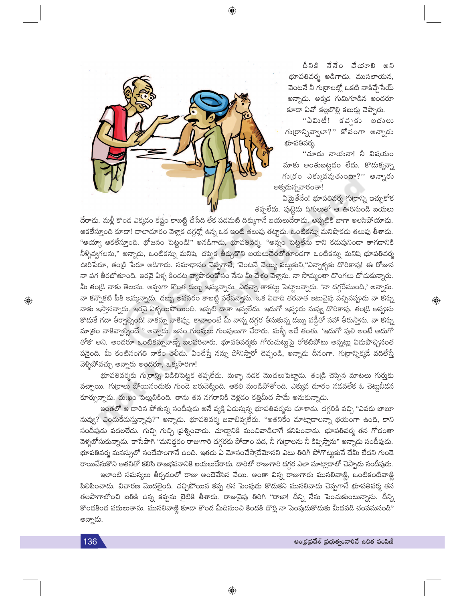

దీనికి నేనేం చేయాలి అని భూపతివర్మ అడిగాడు. ముసలాయన, వెంటనే నీ గుర్రాలల్లో ఒకటి నాకిచ్చేసేయ్ అన్నాడు. అక్కడ గుమిగూడిన అందరూ కూడా ఏవో కల్లబొల్లి కబుర్లు చెప్పారు.

''ఏమిటీ! కచృకు బదులు గు(రాన్నివ్వాలా?" కోపంగా అన్నాడు భూపతివర్మ.

"చూడు నాయనా! నీ విషయం మాకు అంతుబట్టడం లేదు. కొడుక్కన్నా గుర్రం ఎక్కువవుతుందా?'' అన్నారు అక్కడున్నవారంతా!

 $\bigoplus$ 

ఏమైతేనేం! భూపతివర్మ గుర్రాన్ని ఇచ్చుకోక తప్పలేదు. పుట్టెడు దిగులుతో ఆ ఊరినుండి బయలు

దేరాదు. మళ్లీ కొంద ఎక్కడం కష్టం కాబట్టి చేసేది లేక పడమటి దిక్కుగానే బయలుదేరాదు. అప్పటికి బాగా అలసిపోయాదు. ఆకలేస్తూంది కూడా! చాలాదూరం వెళ్లాక దగ్గర్లో ఉన్న ఒక ఇంటి తలుపు తట్టాదు. ఒంటికన్ను మనిషాకదు తలుపు తీశాదు. "అయ్యా ఆకలేస్తూంది. భోజనం పెట్టండి!" అనడిగాడు, భూపతివర్మ. "అన్నం పెట్టలేను కాని కదుపునిండా తాగడానికి నీళ్ళివ్వగలను," అన్నాదు, ఒంటికన్ను మనిషి. దప్పిక తీర్చుకొని బయలుదేరబోతూండగా ఒంటికన్ను మనిషి భూపతివర్మ ఊరిపేరూ, తండ్రి పేరూ అడిగాదు. సమాధానం చెప్పగానే, 'వెంటనే చెయ్యి పట్టుకుని,''ఎన్నాళ్ళకు దొరికావు! ఈ రోజున నా పగ తీరబోతూంది. ఇరవై ఏళ్ళ కిందట వ్యాపారంకోసం నేను మీ దేశం వెళ్లాను. నా సొమ్మంతా దొంగలు దోచుకున్నారు. మీ తం[డి నాకు తెలుసు. అప్పుగా కొంత డబ్బు ఇమ్మన్నాను. ఏదన్నా తాకట్టు పెట్టాలన్నాడు. 'నా దగ్గరేముంది,' అన్నాను. నా కన్నొకటి పీకి ఇమ్మన్నాదు. డబ్బు అవసరం కాబట్టి సరేనన్నాను. ఒక ఏడాది తరవాత ఇటువైపు వచ్చినప్పుడు నా కన్ను నాకు ఇస్తానన్నాదు. ఇరవై ఏళ్ళయిపోయింది. ఇప్పటి దాకా ఇవ్వలేదు. ఇదుగో ఇప్పుడు నువ్వు దొరికావు. తండ్రి అప్పును కొదుకే గదా తీర్చాల్సింది! నాకన్ను నాకివ్వు. కావాలంటే మీ నాన్న దగ్గర తీసుకున్న దబ్బు వడ్డీతో సహా తీరుస్తాను. నా కన్ను మాత్రం నాకివ్వాల్సిందే " అన్నాదు. జనం గుంపులు గుంపులుగా చేరారు. మళ్ళీ అదే తంతు. 'ఇదుగో పులి అంటే అదుగో తోక' అని. అందరూ ఒంటికన్నువాణ్నే బలపరిచారు. భూపతివర్మకు గోరుచుట్తుపై రోకటిపోటు అన్నట్లు ఏదుపొచ్చినంత పనైంది. మీ కంటిసంగతి నాకేం తెలీదు. ఏంచేస్తే నన్ను పోనిస్తారో చెప్పండి, అన్నాడు దీనంగా. గుర్రాన్నిక్కడే వదిలేస్తే వెళ్ళిపోవచ్చు అన్నారు అందరూ, ఒక్కసారిగా!

భూపతివర్మకు గుర్రాన్ని విడిచిపెట్టక తప్పలేదు. మళ్ళా నడక మొదలుపెట్టాడు. తండ్రి చెప్పిన మాటలు గుర్తుకు వచ్చాయి. గు[రాలు పోయినందుకు గుండె బరువెక్కింది. ఆకలి మండిపోతోంది. ఎక్కువ దూరం నడవలేక ఓ చెట్తునీడన కూర్చున్నాడు. దు:ఖం పెల్లుబికింది. తాను తన నగరానికి వెళ్లడం కత్తిమీద సామే అనుకున్నాడు.

ఇంతలో ఆ దారిన పోతున్న సందీపుడు అనే వ్యక్తి ఏడుస్తున్న భూపతివర్మను చూశాడు. దగ్గరికి వచ్చి "ఎవరు బాబూ నువ్వు? ఎందుకేదుస్తున్నావు?" అన్నాదు. భూపతివర్మ జవాబివ్వలేదు. "అతనికేం మాట్లాదాలన్నా భయంగా ఉంది, కాని సందీపుడు వదలలేదు. గుచ్చి గుచ్చి (పశ్నించాడు. చూడ్గానికి మంచివాడిలాగే కనిపించాడు. భూపతివర్మ తన గోడంతా వెళ్ళబోసుకున్నాడు. కాసేపాగి "మనిద్దరం రాజుగారి దగ్గరకు పోదాం పద, నీ గు[రాలను నీ కిప్పిస్తాను" అన్నాడు సందీపుడు. భూపతివర్మ మనస్సులో సందేహంగానే ఉంది. ఇతడు ఏ మోసంచేస్తాడేమోనని ఎటు తిరిగీ పోగొట్టుకునే దేమీ లేదని గుండె రాయిచేసుకొని అతనితో కలిసి రాజభవనానికి బయలుదేరాదు. దారిలో రాజుగారి దగ్గర ఎలా మాట్లాడాలో చెప్పాదు సందీపుడు.

ఇలాంటి సమస్యలు తీర్చడంలో రాజు అందెవేసిన చేయి. అంతా విన్న రాజుగారు ముసలివాణ్ణి, ఒంటికంటివాణ్ణి పిలిపించాదు. విచారణ మొదలైంది. చచ్చిపోయిన కప్ప తన పెంపుడు కొదుకని ముసలివాదు చెప్<mark>స</mark>గానే భూపతివర్మ తన తలపాగాలోంచి బతికి ఉన్న కప్పను బైటికి తీశాడు. రాజువైపు తిరిగి "రాజా! దీన్ని నేను పెంచుకుంటున్నాను. దీన్ని .<br>కొండకింద వదులుతాను. ముసలివాణ్ణి కూడా కొండ మీదినుంచి కిందకి దొర్లి నా పెంపుడుకొడుకు మీదపడి చంపమనండి" అన్నాదు.

136

 $\bigoplus$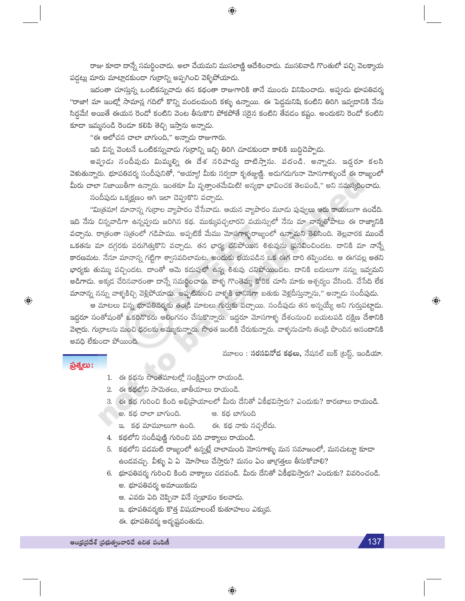రాజు కూడా దాన్నే సమర్థించాడు. అలా చేయమని ముసలాజ్ణి ఆదేశించాడు. ముసలివాడి గొంతులో పచ్చి వెలక్కాయ పడ్డట్లు మారు మాట్లాడకుండా గుర్రాన్ని అప్పగించి వెళ్ళిపోయాడు.

 $\bigoplus$ 

ఇదంతా చూస్తున్న ఒంటికన్నువాడు తన కథంతా రాజుగారికి తానే ముందు వినిపించాడు. అప్పుడు భూపతివర్మ "రాజా! మా ఇంట్లో సామాన్ల గదిలో కొన్ని వందలమంది కళ్ళు ఉన్నాయి. ఈ పెద్దమనిషి కంటిని తిరిగి ఇవ్వడానికి నేను సిద్ధమే! అయితే ఈయన రెండో కంటిని వెంట తీసుకొని పోకపోతే సరైన కంటిని తేవడం కష్టం. అందుకని రెండో కంటిని కూడా ఇమ్మనండి రెండూ కలిపి తెచ్చి ఇస్తాను అన్నాడు.

"ఈ ఆలోచన చాలా బాగుంది," అన్నాదు రాజుగారు.

ఇది విన్న వెంటనే ఒంటికన్నువాడు గుర్రాన్ని ఇచ్చి తిరిగి చూడకుండా కాలికి బుద్ధిచెప్పాడు.

అవ్పుడు సందీపుడు మిమ్మల్ని ఈ దేశ సరిహద్దు దాటిస్తాను. వదండి. అన్నాడు. ఇద్దరూ కలసి వెకుతున్నారు. భూపతివర్మ సందీపునితో, "అయ్యా! మీకు సర్వదా కృతజ్ఞుజ్ణి. అదుగదుగునా మోసగాళ్ళుందే ఈ రాజ్యంలో మీరు చాలా నిజాయితీగా ఉన్నారు. ఇంతకూ మీ వృత్తాంతమేమిటి! అన్యథా భావించక తెలపండి," అని నమస్కరించాడు.

సందీపుడు ఒక్కక్షణం ఆగి ఇలా చెప్పుకొని వచ్చాడు.

"మిత్రమా! మానాన్న గుర్రాల వ్యాపారం చేసేవాదు. ఆయన వ్యాపారం మూడు పువ్వులు ఆరు కాయలుగా ఉండేది. ఇది నేను చిన్నవాడిగా ఉన్నప్పుడు జరిగిన కథ. ముక్కుపచ్చలారని వయస్సులో నేను మా నాన్నతోపాటు ఈ రాజ్యానికి వచ్చాను. రాత్రంతా సత్రంలో గడిపాము. అప్పటికే మేము మోసగాళ్ళరాజ్యంలో ఉన్నామని తెలిసింది. తెల్లవారక ముందే ఒకతను మా దగ్గరకు పరుగెత్తుకొని వచ్చాడు. తన భార్య చనిపోయిన శిశువును ప్రసవించిందట. దానికి మా నాన్నే కారణమట. నేనూ మానాన్న గట్టిగా శ్వాసవదిలామట. అందుకు భయపడిన ఒక ఈగ దారి తప్పిందట. ఆ ఈగవల్ల అతని భార్యకు తుమ్ము వచ్చిందట. దాంతో ఆమె కడుపులో ఉన్న శిశువు చనిపోయిందట. దానికి బదులుగా నన్ను ఇవ్వమని అడిగాదు. అక్కడ చేరినవారంతా దాన్నే సమర్థించారు. వాళ్ళ గొంతెమ్మ కోరిక చూసి మాకు ఆశ్చర్యం వేసింది. చేసేది లేక మానాన్న నన్ను వాళ్ళకిచ్చి వెళ్లిపోయాడు. అప్పటినుంచి వాళ్ళకి బానిసగా బతుకు వెళ్లదీస్తున్నాను," అన్నాడు సందీపుడు.

ఆ మాటలు విన్న భూపతివర్మకు తండ్రి మాటలు గుర్తుకు వచ్చాయి. సందీపుడు తన అన్నయ్యే అని గుర్తుపట్టా<mark>డు.</mark> ఇద్దరూ సంతోషంతో ఒకరినొకరు ఆలింగనం చేసుకొన్నారు. ఇద్దరూ మోసగాళ్ళ దేశంనుంచి బయటపడి దక్షిణ దేశానికి వెళ్లారు. గుర్రాలను మంచి ధరలకు అమ్ముకున్నారు. సొంత ఇంటికి చేరుకున్నారు. వాళ్ళనుచూసి తండ్రి పొందిన ఆనందానికి అవధి లేకుండా పోయింది.

మూలం : **సరసవినోద కథలు,** నేషనల్ బుక్ (టస్ట్, ఇండియా.

## ప్రశ్నలు:

 $\bigoplus$ 

- 1. ఈ కథను సొంతమాటల్లో సంక్షిప్తంగా రాయండి.
- 2. ఈ కథలోని సామెతలు, జాతీయాలు రాయండి.
- 3. ఈ కథ గురించి కింది అభిప్రాయాలలో మీరు దేనితో ఏకీభవిస్తారు? ఎందుకు? కారణాలు రాయండి.
	- ఆ. కథ బాగుంది అ. కథ చాలా బాగుంది.
	- ఇ. కథ మామూలుగా ఉంది. ఈ. కథ నాకు నచ్చలేదు.
- 4. కథలోని సందీపుణ్ణి గురించి పది వాక్యాలు రాయండి.
- 5. కథలోని పడమటి రాజ్యంలో ఉన్నట్లే చాలామంది మోసగాళ్ళు మన సమాజంలో, మనచుట్టూ కూడా ఉండవచ్చు. వీళ్ళు ఏ ఏ మోసాలు చేస్తారు? మనం ఏం జాగ్రత్తలు తీసుకోవాలి?
- 6. భూపతివర్మ గురించి కింది వాక్యాలు చదవండి. మీరు దేనితో ఏకీభవిస్తారు? ఎందుకు? వివరించండి. అ. భూపతివర్మ అమాయికుదు
	- ఆ. ఎవరు ఏది చెప్పినా వినే స్వభావం కలవాడు.
	- ఇ. భూపతివర్మకు కొత్త విషయాలంటే కుతూహలం ఎక్కువ.
	- ఈ. భూపతివర్మ అదృష్టవంతుడు.

137

 $\textcolor{black}{\textcolor{black}{\bigoplus}}$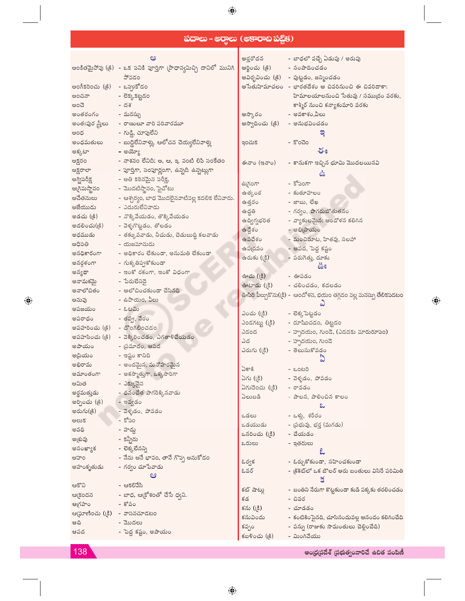## **సదాలు - అర్తాలు (అకారాబ పబ్లిక)**

 $\bigoplus$ 

|                                     | ಅ                                                                   | ఆర్తరోదన                         | - బాధలో వచ్చే ఏడుపు / అరుపు                                         |
|-------------------------------------|---------------------------------------------------------------------|----------------------------------|---------------------------------------------------------------------|
|                                     | అంకితమైపోవు (క్రి) - ఒక పనికి పూర్తిగా (పాధాన్యమిచ్చి దానిలో మునిగి | ఆర్జించు (క్రి)                  | - సంపాదించడం                                                        |
|                                     | పోవడం                                                               |                                  | ఆవిర్బవించు (క్రి) - పుట్టడం, జన్మించడం                             |
| అంగీకరించు (క్రి)                   | - ఒప్పుకోడం                                                         |                                  | ఆసేతుహిమాచలం - భారతదేశం ఆ చివరినుంచి ఈ చివరిదాకా;                   |
| అంచనా                               | - లెక్కకట్టడం                                                       |                                  | హిమాలయాలనుంచి సేతువు / సముద్రం వరకు,                                |
| ಅಂವ                                 | - దశ                                                                |                                  |                                                                     |
| అంతరంగం - మనస్సు                    |                                                                     |                                  | కాశ్మీర్ నుంచి కన్యాకుమారి వరకు                                     |
|                                     |                                                                     | ఆస్కారం                          | - అవకాశం,వీలు                                                       |
| అంతఃపుర <mark>స్త్రీలు</mark>       | - రాణులూ వారి పరివారమూ                                              | ఆస్వాదించు (క్రి)                | $-$ అనుభవించడం                                                      |
| అంధ                                 | - గుడ్డి, చూపులేని                                                  |                                  | ಇ                                                                   |
| అంధమతులు                            | $-$ బుద్దిలేనివాళ్లు, ఆలోచన చెయ్యలేనివాళ్లు                         | ఇంచుక                            | - కొంచెం                                                            |
| అక్కటా                              | - ಅರ್ಮ್ಸೌ                                                           |                                  | ఈ                                                                   |
| అక్షరం                              | - నాశనం లేనిది; అ, ఆ, ఇ, వంటి లిపి సంకేతం                           | ఈనాం (ఇనాం)                      | - కానుకగా ఇచ్చిన భూమి మొదలయినవి                                     |
| అక్షరాలా                            | - ఫూర్తిగా, సంపూర్ణంగా, ఉన్నది ఉన్నట్లుగా                           |                                  | ఉ                                                                   |
| అగ్నిపరీక్ష                         | - అతి కఠినమైన పరీక్ష,                                               | ఉగ్రంగా                          | - కోపంగా                                                            |
| అ(గిమస్థానం                         | - మొదటిస్థానం, పైచోటు                                               | ఉత్కంఠ                           | - కుతూహలం                                                           |
| అచేతనులు                            | - ఆశ్చర్యం, బాధ మొదలైనవాటివల్ల కదలిక లేనివారు.                      | ఉత్తరం                           | - ಜಾಬು, ಲೆಖ                                                         |
| అజేయుడు                             | - ఎదురులేనివాడు                                                     | ఉద్ధతి                           | - గర్వం, పొగరుబోతుతనం                                               |
| అడచు (క్రి)                         | - నొక్కివేయడం, తొక్కివేయడం                                          | ఉద్విగ్నభరిత                     | - వ్యాకులమైన; ఆందోళన కలిగిన                                         |
| అదలించు(క్రి)                       | - వెళ్ళగొట్టడం, తోలడం                                               |                                  |                                                                     |
| అధముడు                              | - తక్కువవాడు, నీచుడు, చెడుబుద్ది కలవాడు                             | ఉద్దేశం                          | - ಅಭಿ(పాయం                                                          |
| అధిపతి                              | - యజమానుడు                                                          | ఉపదేశం                           | - మంచిమాట, హితవు, సలహా                                              |
| అనధికారంగా                          | - అధికారం లేకుండా, అనుమతి లేకుండా                                   | ఉపద్రవం                          | - ఆపద, పెద్ద కష్టం                                                  |
| అనర్గళంగా                           | - గుక్కతిప్పకోకుండా                                                 | ఉరుకు (క్రి)                     | - పరుగెత్తు, దూకు                                                   |
| అన్యథా                              | - ఇంకో రకంగా, ఇంకో విధంగా                                           |                                  | ఊ                                                                   |
| అనామకమై                             | - పేరులేనిదై                                                        | ఊచు (్రకి)                       | - ఊపడం                                                              |
| అనాలోచితం                           | - ఆలోచించకుండా చేసినది                                              |                                  | ఊటాడు (క్రి) - చలించడం, కదలడం                                       |
|                                     |                                                                     |                                  |                                                                     |
|                                     |                                                                     |                                  | ఊపిరి పీల్చుకొను((క్రి) -  ఆందోళన, భయం తగ్గడం వల్ల మనస్సు తేలికపడటం |
| అనువు                               | - ఉపాయం, వీలు                                                       |                                  |                                                                     |
| అపజయం                               | - ఓటమి                                                              | ఎంచు (క్రి)                      | - లెక్కపెట్టడం                                                      |
| అపరాధం                              | - తప్పు, నేరం                                                       | ఎండగట్టు (క్రి)                  | - దూషించడం, తిట్టడం                                                 |
| అపహరించు (18) - దొంగిలించడం         |                                                                     | ఎడంద                             | - హృదయం, గుండె, (ఎడదకు మారురూపం)                                    |
| అపహసించు (క్రి)                     | - వెక్కిరించడం, ఎగతాళిచేయడం                                         | ఎద                               | - హృదయం, గుండె                                                      |
| అపాయం                               | - బ్రమాదం, ఆపద                                                      | ఎరుగు (క్రి)                     | - తెలుసుకోవడం                                                       |
| అప్రియం                             | - ఇష్టం కానిది                                                      |                                  |                                                                     |
| అభిరామ                              | - అందమైన, మనోహరమైన                                                  | ఏకాకి                            | - ಒಂಟರಿ                                                             |
| అమాంతంగా                            | - అకస్మాత్తుగా, ఒక్కసారిగా                                          | ఏగు (క్రి)                       | - వెళ్ళడం, పోవడం                                                    |
| అమిత                                | - ఎక్కువైన                                                          |                                  |                                                                     |
| అర్థమత్తుడు                         | - ధనంచేత పొగరెక్కినవాడు                                             | ఏగుదెంచు ((కి) - రావడం<br>ఏలుబడి | - పాలన, పాలించిన కాలం                                               |
| అర్పించు (క్రి)                     | - ఇవ్వడం                                                            |                                  | ಒ                                                                   |
| అరుగు(క్రి)                         | - వెళ్ళడం, పోవడం                                                    | ఒడలు                             |                                                                     |
| అలుక                                | - కోపం                                                              |                                  | - ఒళ్లు, శరీరం                                                      |
| అవధి                                | - హద్దు                                                             | ఒడయుడు                           | – ప్రభువు, భర్త (మగడు)                                              |
| అౖతువు                              | - కన్నీరు                                                           | ఒనరించు ( <sub>(</sub> కి)       | - చేయడం                                                             |
| అసంఖ్యాక                            | - లెక్కలేనన్ని                                                      | ఒరులు                            | - ఇతరులు                                                            |
| అహం                                 | - నేను అనే భావం, తానే గొప్ప అనుకోడం                                 |                                  |                                                                     |
| అహంకృతుడు                           | - గర్వం చూపేవాడు                                                    | ఓర్వక                            | - ఓర్చుకోకుండా, సహించకుండా                                          |
|                                     | ఆ                                                                   | ఓవర్                             | - (కికెట్లో ఒక బౌలర్ ఆరు బంతులు విసిరే పరిమితి                      |
| ఆకొని                               | - ఆకలివేసి                                                          |                                  | $\leq$                                                              |
|                                     | ఆ(కందన           - బాధ, ఆ(కోశంతో చేసే ధ్వని.                        | కట్ షాట్లు                       | - బంతిని నేరుగా కొట్టకుండా కుడి పక్కకు తరలించడం                     |
| - క <u>ో</u> పం                     |                                                                     | కడ                               | - చివర                                                              |
| ఆగ్రహం                              |                                                                     | కను (క్రి)                       | - చూడడం                                                             |
| ఆ(ఘాణించు (క్రి) - వాసనచూడటం<br>ఆది | - మొదలు                                                             | కనువిందు                         | - కంటికింపైనది, చూసినందువల్ల ఆనందం కలిగించేది                       |
| ఆపద                                 | - పెద్ద కష్టం, అపాయం                                                | కప్పం<br>కబళించు (క్రి)          | - పన్ను (రాజుకు సామంతులు చెల్లించేది)<br>- మింగివేయు                |

138

 $\bigoplus$ 

ఆంధ్రప్రదేశ్ (పభుత్వంవారిచే ఉచిత పంపిణీ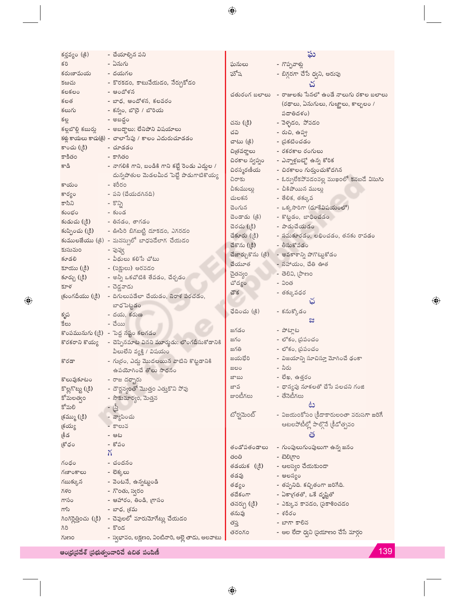| కర్తవ్యం (క్రి)  | - చేయాల్సిన పని                                                 |                | ఘ                                                          |
|------------------|-----------------------------------------------------------------|----------------|------------------------------------------------------------|
| కరి              | - ఏనుగు                                                         | ఘనులు          | - గొప్పవాళ్లు                                              |
| కరుణామయ          | - దయగల                                                          | ఘోష            | - బిగ్గరగా చేసే ధ్వని, అరుపు                               |
| కఱచు             | - కొరకడం, కాటువేయడం, నేర్చుకోడం                                 |                | చ                                                          |
| కలకలం            | - ఆందోళన                                                        |                | చతురంగ బలాలు - రాజులకు సేనలో ఉండే నాలుగు రకాల బలాలు        |
| కలత              | - బాధ, ఆందోళన, కలవరం                                            |                |                                                            |
| కలుగు            | - కన్నం, బొర్రె / బొరియ                                         |                | $($ రథాలు, ఏనుగులు, గుఱ్ఱాలు, కాల్బలం /                    |
| కల్ల             | – అబద్ధం                                                        |                | పదాతిదళం)                                                  |
|                  | కల్లబొల్లి కబుర్లు - అబద్దాలు; లేనిపోని విషయాలు                 | చను (క్రి)     | - వెళ్ళడం, పోవడం                                           |
|                  | కళ్లు కాయలు కాచు(క్రి) - చాలాసేపు / కాలం ఎదురుచూడడం             | చవి            | - రుచి, ఉప్ప                                               |
| కాంచు (క్రి)     | - చూడడం                                                         | చాటు (క్రి)    | - ప్రకటించడం                                               |
| కాకితం           | - కాగితం                                                        | చిత్రవర్ణాలు   | - రకరకాల రంగులు                                            |
| కాడి             | - నాగలికి గాని, బండికి గాని కట్టే రెండు ఎద్దుల /                | చిరకాల స్వప్నం | - ఎన్నాళ్లబట్టో ఉన్న కోరిక                                 |
|                  | దున్నపోతుల మెడలమీద పెట్టే పొడుగాటికొయ్య                         | చిరస్మరణీయ     | - చిరకాలం గుర్తుంచుకోదగిన                                  |
| కాయం             | - శరీరం                                                         | చిరాకు         | - ఓర్పులేకపోవడంవల్ల ముఖంలో కనబడే విసుగు                    |
|                  | - పని (చేయదగినది)                                               | చీకుముల్లు     | - చీకిపోయిన ములుౖ                                          |
| కార్యం<br>కాసిని | - కొన్ని                                                        | చులకన          | - తేలిక, తక్కువ                                            |
|                  | - కుండ                                                          | చెంగున         | - ఒక్కసారిగా (దూకేవిషయంలో)                                 |
| కుంభం            |                                                                 | చెండాడు (క్రి) | - కొట్టడం, బాధించడం                                        |
| కుడుచు (క్రి)    | - తినడం, తాగడం                                                  | చెరచు (క్రి)   | - పాడుచేయడం                                                |
|                  | కుప్పించు (క్రి) - ఊపిరి బిగబట్టి దూకడం, ఎగరడం                  | చేకూరు (క్రి)  | - సమకూరడం, లభించడం, తనకు రావడం                             |
|                  | కుములజేయు (క్రి) - మనస్సులో బాధపడేలాగ చేయడం                     | చేకొను (క్రి)  | - తీసుకోవడం                                                |
| కుసుమం           | - పువ్వ                                                         |                | చేజార్చుకొను ( <sub>కీ</sub> )   - అవకాశాన్ని పోగొట్టుకోడం |
| కూడలి            | - వీథులు కలిసే చోటు                                             | చేయూత          | - సహాయం, చేతి ఊత                                           |
|                  | కూయు (క్రి) - (పక్షులు) అరవడం                                   | చైతన్యం        | - ತెలివి, (పాణం                                            |
| కూర్చు (క్రి)    | - అన్నీ ఒకచోటికి తేవడం, చేర్చడం                                 | చోద్యం         | - వింత                                                     |
| కూళ              | - చెడ్డవాడు                                                     | చౌక            | - తక్కువధర                                                 |
|                  | $\beta$ (కుంగదీయు ( $\beta$ ) - దిగులుపడేలా చేయడం, నిరాశ పరచడం, |                |                                                            |
|                  | బాధపెట్టడం                                                      | ఛేదించు (క్రి) | - కనుక్కోడం                                                |
| కృప              | - దయ, కరుణ                                                      |                | ಜ                                                          |
| కేలు             | - చేయి                                                          |                |                                                            |
|                  | కొంపమునుగు (క్రి)  - పెద్ద నష్టం కలగడం                          | జగడం           | - పోట్తాట                                                  |
|                  | కొరకరాని కొయ్య — చెప్పినమాట వినని మూర్ఖడు; లొంగదీసుకోడానికి     | జగం            | - లోకం, బ్రపంచం                                            |
|                  | వీలులేని వ్యక్తి / విషయం                                        | జగతి           | - లోకం, (పపంచం                                             |
| కొరడా            | - గుర్రం, ఎద్దు మొదలయిన వాటిని కొట్టడానికి                      | జయభేరి         | - విజయాన్ని సూచిస్తూ మోగించే ఢంకా                          |
|                  | ఉపయోగించే తోలు సాధనం                                            | ಜಲಂ            | - నీరు                                                     |
| కొలువుకూటం       | - రాజ దర్భారు                                                   | ಜ್ಞಾ           | - లేఖ, ఉత్తరం                                              |
|                  | కొల్లగొట్టు ((కి)     - దౌర్జన్యంతో మొత్తం ఎత్తుకొని పోవు       | జావ            | - ధాన్యపు నూకలతో చేసే పలచని గంజి                           |
| కోమలత్యం         | - సౌకుమార్యం, మెత్తన                                            | జాంటీగలు       | - తేనెటీగలు                                                |
| కోమలి            | - ဖြံ့                                                          |                | ట                                                          |
| (క్రమ్ము ((క్రి) | - వ్యాపించు                                                     | టోర్నమెంట్     | - విజయంకోసం (కీడాకారులంతా వరుసగా జరిగే                     |
| క్షయ్య           | - కాలువ                                                         |                | ఆటలపోటీల్లో పాల్గొనే (కీడోత్సవం                            |
| క్రీడ            | - ఆట                                                            |                | త                                                          |
| కోధం             | - కోపం                                                          | తండోపతండాలు    |                                                            |
|                  | X.                                                              |                | - గుంపులుగుంపులుగా ఉన్న జనం<br>- ಟ <u>ಿ</u> ರ್ಲಿಂ          |
| గంధం             | - చందనం                                                         | తంతి           |                                                            |
| గణాంకాలు         | - లెక్కలు                                                       | తడయక (క్రి)    | - ఆలస్యం చేయకుండా                                          |
| గబుక్కున         | - వెంటనే, ఉన్నట్టుండి                                           | తడవు           | - ఆలస్యం                                                   |
| గళం              | - గొంతు, స్వరం                                                  | తథ్యం          | - తప్పనిది. కచ్చితంగా జరిగేది.                             |
| గాసం             | - ఆహారం, తిండి, గ్రాసం                                          | తదేకంగా        | - ఏకాగ్రతతో, ఒకే దృష్టితో                                  |
| గాసి             | - బాధ, <sub>(</sub> శమ                                          | తనర్చు (క్రి)  | - ఎక్కువ కావడం, (పకాశించడం                                 |
|                  | గింగిర్లెత్తించు (క్రి) - చెవులలో మారుమోగేట్లు చేయడం            | తనువు          | - శరీరం                                                    |
| ಗಿರಿ             | - $Soc$                                                         | తప్త           | - బాగా కాలిన                                               |
| గుణం             | - స్వభావం, లక్షణం, వింటినారి, అల్లె తాడు, అలవాటు                | తరంగం          | - అల లేదా ధ్వని (పయాణం చేసే మార్గం                         |
|                  |                                                                 |                |                                                            |

ఆంధ్రప్రదేశ్ (పభుత్వంవారిచే ఉచిత పంపిణీ

 $\bigoplus$ 

139

 $\bigoplus$ 

 $\overline{\phantom{0}}$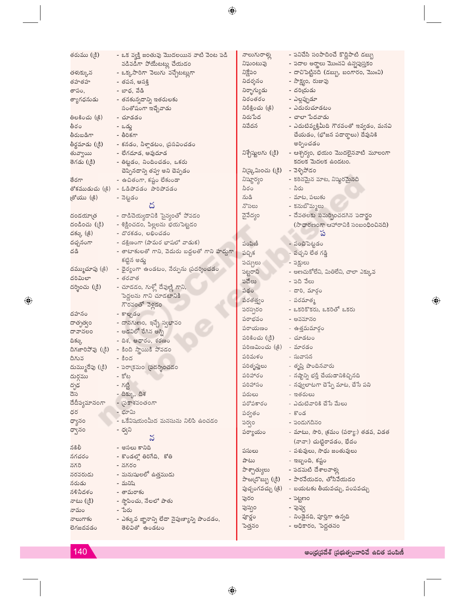| కరుము (క్రి)                    | - ఒక వ్యక్తి జంతువు మొదలయిన వాటి వెంట పడి                                      | నాలుగురాళ్లు                   | - పనిచేసి సంపాదించే కొద్దిపాటి డబ్బు                     |
|---------------------------------|--------------------------------------------------------------------------------|--------------------------------|----------------------------------------------------------|
|                                 | వడివడిగా పోయేటట్లు చేయడం                                                       | నిఘంటువు                       | - పదాల అర్థాలు మొπనవి ఉన్నపుస్తకం                        |
| తళుక్కున<br>'                   | - ఒక్కసారిగా వెలుగు వచ్చేటట్లుగా                                               | నిక్షేపం                       | - దాచిపెట్టినది (డబ్బు, బంగారం, మొ <b>॥</b> వి)          |
| కహతహ                            | - తపన, ఆసక్తి                                                                  | నిదర్శనం                       | - సాక్ష్యం, రుజావు                                       |
| కాపం,                           | - బాధ, వేడి                                                                    | నిర్భాగ్యుడు                   | - దరియ్రదు                                               |
| త్యాగధనుడు                      | - తనకున్నదాన్ని ఇతరులకు                                                        | నిరంతరం                        | - ఎల్లప్పుడూ                                             |
|                                 | సంతోషంగా ఇచ్చేవాడు                                                             | నిరీక్షించు (క్రి)             | - ఎదురుచూడటం                                             |
| తిలకించు (క్రి)                 | - చూడడం                                                                        | నిరుపేద                        | - చాలా పేదవాడు                                           |
| తీరం                            | – ఒద్దు                                                                        | నివేదన                         | - ఎదుటివ్యక్తిమీది గౌరవంతో ఇవ్వడం, మనవి                  |
| కేరుబడిగా                       | - తీరికగా                                                                      |                                | చేయడం, (భోజన పదార్థాలు) దేవునికి                         |
| <sup>శ్రీ</sup> ర్ణమాడు (్రకి)  | - కనడం, నీళ్లాడటం, ప్రసవించడం                                                  |                                | అర్పించడం                                                |
| కువ్వాయి                        | - లేగదూడ, ఆవుదూడ                                                               |                                | నిశ్చేష్టులగు ((కి)    - ఆశ్చర్యం, భయం మొదలైనవాటి మూలంగా |
| కెగడు (క్రి)                    | - తిట్టడం, నిందించడం, ఒకరు                                                     |                                | కదలక మెదలక ఉండటం.                                        |
|                                 | చెప్పినదాన్ని తప్ప అని చెప్పడం                                                 | ని(ష్కమించు ((కి) - వెళ్ళిపోడం |                                                          |
| కేరగా                           | - ఉచితంగా, కష్టం లేకుండా                                                       | నిష్యార్యం                     | - కఠినమైన మాట, నిష్మరమైనది                               |
| తోకముడుచు ( <sub></sub> క్రి)   | - ఓడిపోవడం పారిపోవడం                                                           | నీరం                           | - నీరు                                                   |
| తోయు (క్రి)                     | - నెట్టడం                                                                      | నుడి                           | - మాట, పలుకు                                             |
|                                 |                                                                                | నొసలు                          | - కనుబొమ్మలు                                             |
| నండయా[త                         | - దాడిచెయ్యడానికి సైన్యంతో పోవడం                                               | నైవేద్యం                       | - దేవతలకు సమర్పించదగిన పదార్థం                           |
| వండించు (క్రి)                  | - శిక్షించడం, పిల్లలను భయపెట్టడం                                               |                                | (సాధారణంగా ఆహారానికి సంబంధించినది)<br>ప                  |
| వక్కు (క్రి)                    | - దొరకడం, లభించడం                                                              |                                |                                                          |
| వచ్చనంగా<br>నడి                 | - దక్షిణంగా (పామర భాషలో వాడుక)<br>- తాటాకులతో గాని, వెదురు బద్దలతో గాని హద్దగా | పంపిణీ                         | - పంచిపెట్టడం                                            |
|                                 | కట్టిన అడ్డు                                                                   | పచ్చిక                         | - పచ్చని లేత గడ్డి                                       |
| వమ్ముచూపు ( <sub>(</sub> కి)    | - ధైర్యంగా ఉండటం, నేర్పును (పదర్శించడం                                         | పచ్చులు                        | - పక్షులు                                                |
| నరిమిలా                         | - తరవాత                                                                        | పట్టరాని                       | - అణచుకోలేని, మితిలేని, చాలా ఎక్కువ                      |
| వర్నించు (క్రి)                 | - చూడడం, గుళ్లో దేవుణ్ణి గాని,                                                 | పదేలు                          | - పది వేలు                                               |
|                                 | పెద్దలను గాని చూడటానికి                                                        | పథం                            | - దారి, మార్గం                                           |
|                                 | గౌరవంతో వెళ్లడం                                                                | పరతత్త్వం                      | - పరమాత్మ                                                |
| వహనం                            | - కాల్చడం                                                                      | పరస్పరం                        | - ఒకరికొకరు, ఒకరితో ఒకరు                                 |
| వాతృత్ <del>వ</del> ం           | - దానగుణం, ఇచ్చే స్వభావం                                                       | పరాభవం                         | - అవమానం                                                 |
| హహనలం                           | - అడవిలో రేగిన అగ్ని                                                           | పరాయణం                         | - ఉత్తమమార్గం                                            |
| పెక్కు                          | - దిశ, ఆధారం, శరణం                                                             | పరికించు (క్రి)                | - చూడటం                                                  |
| పిగజారిపోవు ( <sub></sub> క్రి) | - కింది స్థాయికి పోవడం                                                         | పరిణమించు (క్రి) - మారడం       |                                                          |
| పిగువ                           | $-$ కింద                                                                       | పరిమళం                         | - సువాసన                                                 |
| మమ్మురేపు (క్రి)                | - పరా(కమం (పదర్శించడం                                                          | పరితృప్తులు                    | - తృప్తి పొందినవారు                                      |
| మర్గము                          | - కోట                                                                          | పరిహారం                        | - నష్టాన్ని భర్తీ చేయడానికిచ్చినది                       |
| వృఢ                             | - గట్టి                                                                        | పరిహాసం                        | - నవ్వులాటగా చెప్పే మాట, చేసే పని                        |
| వెస                             | - దిక్కు, దిశ                                                                  | పరులు                          | - ఇతరులు                                                 |
| వేదీప్యమానంగా                   | - (పకాశవంతంగా                                                                  | పరోపకారం                       | - ఎదుటివారికి చేసే మేలు                                  |
| వర                              | - భూమి                                                                         | పర్వతం                         | - కొండ                                                   |
| హ్యానం                          | - ఒకేవిషయంమీద మనసును నిలిపి ఉంచడం                                              | పర్భం                          | - పండుగదినం                                              |
| న్నానం                          | - ధ్వని                                                                        | పర్యాయం                        | - మాటు, సారి, క్రమం (పర్యా:) తడవ, విడత                   |
|                                 | $\boldsymbol{\mathcal{S}}$                                                     |                                | (నానా:) చుట్టిరావడం, భేదం                                |
| నకిలీ                           | - అసలు కానిది                                                                  | పసులు                          | - పశువులు, సాధు జంతువులు                                 |
| నగచరం                           | - కొండల్లో తిరిగేది, కోతి                                                      | పాటు                           | - ఇబ్బంది, కష్టం                                         |
| รหอ                             | - నగరం                                                                         | పాశ్చాత్యులు                   | - పడమటి దేశాలవాళ్లు                                      |
| నరవరుడు                         | - మనుషులలో ఉత్తముడు                                                            | పాఱ్ర్రహ్బు (క్రి)             | - పారవేయడం, తోసివేయడం                                    |
| నరుడు<br>కళినీదళం               | - మనిషి<br>- తామరాకు                                                           |                                | పుచ్చంగవచ్చు (క్రి)   - బయటకు తీయవచ్చు, పంపవచ్చు         |
|                                 |                                                                                | పురం                           | - పట్టణం                                                 |
| ూటు ((కి)<br>ూమం                | - స్థాపించు, నేలలో పాతు<br>- పేరు                                              | పుష్పం                         | - పువ్వు                                                 |
| ూలుగాకు                         | - ఎక్కువ జ్ఞానాన్ని లేదా నైపుణ్యాన్ని పొందడం,                                  | పూర్ణం                         | - నిండైనది, పూర్తిగా ఉన్నది                              |
| スメッメメメ へ                        | ≅నినితో ఉండట∈                                                                  | పెత్తనం                        | - అధికారం, పెదతనం                                        |

 $\bigoplus$ 

ఆంధ్రప్రదేశ్ (పభుత్వంవారిచే ఉచిత పంపిణీ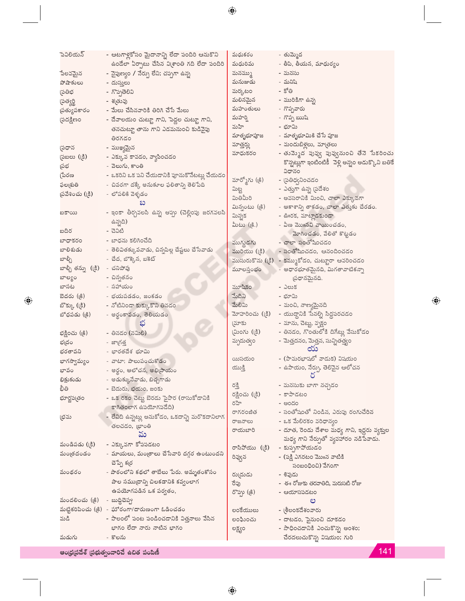| పెవిలియన్                | - ఆటగాళ్లకోసం మైదానాన్ని లేదా పందిరి ఆనుకొని<br>ఉండేలా ఏర్పాటు చేసిన వి(శాంతి గది లేదా పందిరి | మధుకరం<br>మధురిమ | - తుమ్మెద<br>- తీపి, తీయన, మాధుర్యం                |
|--------------------------|-----------------------------------------------------------------------------------------------|------------------|----------------------------------------------------|
| పేలవమైన                  | - నైపుణ్యం / నేర్పు లేని; చప్పగా ఉన్న                                                         | మనమ్ము           | - మనసు                                             |
| పోషాకులు                 | - దుస్తులు                                                                                    | మనుజుడు          | - మనిషి                                            |
| స్రతిభ                   | - గొప్పతెలివి                                                                                 | మర్కటం           | - కోతి                                             |
| స్రత్యర్థి               | - శఁతువు                                                                                      | మలినమైన          | - మురికిగా ఉన్న                                    |
| స్రత్యుపకారం             | - మేలు చేసినవారికి తిరిగి చేసే మేలు                                                           | మహంతులు          | - గొప్పవారు                                        |
| స్రవక్షిణం               | - దేవాలయం చుట్టూ గాని, పెద్దల చుట్టూ గాని,                                                    | మహర్షి           | - గొప్ప ఋషి                                        |
|                          | తనచుట్యా తాను గాని ఎడమనుంచి కుడివైపు                                                          | మహి              | - భూమి                                             |
|                          | తిరగడం                                                                                        | మాతృభూపూజ        | - మాతృభూమికి చేసే పూజ                              |
| స్టరాన                   | - ముఖ్యమైన                                                                                    | మాత్తర్లు        | - మందుబిళ్లలు, మాత్రలు                             |
| (ప్రబలు ((కి)            | - ఎక్కువ కావడం, వ్యాపించడం                                                                    | మాధుకరం          | - తుమ్మెద పువ్వు పువ్వునుంచి తేనె సేకరించు         |
| త్రభ                     | - వెలుగు, కాంతి                                                                               |                  | కొన్నట్లుగా ఇంటింటికీ వెళ్లి అన్నం అడుక్కొని బతికే |
| (పేరణ                    | - ఒకరిని ఒక పని చేయడానికి పూనుకొనేటట్లు చేయడం                                                 |                  | విధానం                                             |
| ఫల్నటతి                  | - చివరగా దక్కే అనుకూల ఫలితాన్ని తెలిపేది                                                      | మార్మోగు (క్రి   | - (పతిధ్వనించడం                                    |
| (ప్రవేశించు (క్రి)       | - లోపలికి వెళ్ళడం                                                                             | ಮಿಟ್ಟ            | - ఎత్తుగా ఉన్న (పదేశం                              |
|                          | ಬ                                                                                             | మితిమీరి         | - అవసరానికి మించి, చాలా ఎక్కువగా                   |
| బకాయి                    | - ఇంకా తీర్చవలసి ఉన్న అప్పు (చెల్లింపు జరగవలసి                                                | మిన్నంటు (క్రి)  | - ఆకాశాన్ని తాకడం, చాలా ఎత్తుకు చేరడం.             |
|                          | ఉన్నది)                                                                                       | మిన్నక           | - ఊరక, మాట్లాడకుండా                                |
| හයිර                     | – ವವಿಟಿ                                                                                       | మీటు (క్రి.)     | - వీణ మొు॥నవి వాయించడం,                            |
| బాధాకరం                  | - బాధను కలిగించేది                                                                            |                  | మోగించడం, వేలితో కొట్టడం<br>- చాలా సంతోషించడం      |
| బాలిశుడు                 | - తెలివితక్కువవాడు, చిన్నపిల్ల చేష్టలు చేసేవాడు                                               | ముగ్దుడగు        | మురియు (క్రి) - సంతోషించడం, ఆనందించడం              |
| బాల్చీ                   | - చేద, బొక్కెన, బకెట్                                                                         |                  | ముసురుకొను ((కి) - కమ్ముకోడం, చుట్టూరా ఆవరించడం    |
| బాల్చీ తన్ను ((కి)       | - చనిపోవు                                                                                     | మూలస్తంభం        | - ఆధారభూతమైనది, మిగతావాటికన్నా                     |
| బాల్యం                   | - చిన్నతనం                                                                                    |                  | ప్రధానమైనది.                                       |
| బాసట                     | - సహాయం                                                                                       | మూషికం           | - ఎలుక                                             |
| బెదరు ( <sub>(</sub> కి) | - భయపడడం, జంకడం                                                                               | మేదిని           | - భూమి                                             |
| బొక్కు ((కి)             | - నోటినిండా కుక్కుకొని తినడం                                                                  | మేలిమి           | - మంచి, నాణ్యమైనది                                 |
| బోధపడు (క్రి)            | - అర్థంకావడం, తెలియడం                                                                         | మోహరించు ((కి)   | - యుద్దానికి సేనల్ని సిద్ధపరచడం                    |
|                          |                                                                                               | ్నవాకు           | - మాను, చెట్టు, వృక్ష <mark>ం</mark>               |
| భక్షించు (క్రి)          | - తినడం (నమిలి)                                                                               | ్రమింగు (క్రి)   | - తినడం, గొంతులోకి దిగేట్లు వేసుకోడం               |
| భ(దం                     | - జాగ్రత్త                                                                                    | మృదుత్వం         | - మెత్తదనం, మెత్తన, సున్నితత్త్వం                  |
| భరతావని                  | - భారతదేశ భూమి                                                                                |                  | య                                                  |
| భాగస్వామ్యం              | - వాటా; పాలుపంచుకోడం                                                                          | యిసయం            | - (పామరభాషలో వాడుక) విషయం                          |
| భావం                     | - అర్థం, ఆలోచన, అభి[పాయం                                                                      | యుక్తి           | - ఉపాయం, నేర్పు, తెలివైన ఆలోచన                     |
| భిక్షుకుడు               | - అడుక్కునేవాడు, బిచ్చగాడు                                                                    |                  |                                                    |
| ಭಿತಿ                     | - బెదురు, భయం, జంకు                                                                           | రక్తి            | - మనసుకు బాగా నచ్చడం                               |
| భూర్ణప్రతం               | - ఒక రకం చెట్ట బెరడు పైపొర (రాసుకోడానికి                                                      | రక్షించు (క్రి)  | - కాపాడటం                                          |
|                          | కాగితంలాగ ఉపయోగపడేది)                                                                         | రహి              | - అందం                                             |
| (భమ                      | - లేనిది ఉన్నట్లు అనుకోడం, ఒకదాన్ని మరొకదానిలాగ                                               | రాగరంజిత         | - సంతోషంతో నిండిన, ఎరుపు రంగుచేరిన                 |
|                          | తలచడం, భాంతి                                                                                  | రాజనాలు          | - ఒక మేలిరకం వరిధాన్యం                             |
|                          | మ                                                                                             | రాయబారి          | - దూత, రెండు దేశాల మధ్య గాని, ఇద్దరు వ్యక్తుల      |
| మండిపడు (క్రి)           | - ఎక్కువగా కోపపడటం                                                                            |                  | మధ్య గాని నేర్పుతో వ్యవహారం నడిపేవాడు.             |
| మంత్రదండం                | - మాయలు, మంత్రాలు చేసేవారి దగ్గర ఉంటుందని                                                     | రాసిపోయు (క్రి)  | - కుప్పగాపోయడం                                     |
|                          | చెప్పే కర్ర                                                                                   | రివ్వన           | - (పక్షి ఎగరటం మొπన వాటికి                         |
| మంథరం                    | - పాఠంలోని కథలో తాబేలు పేరు. అమృతంకోసం                                                        |                  | సంబంధించి) వేగంగా                                  |
|                          | పాల సముద్రాన్ని చిలకడానికి కవ్వంలాగ                                                           | రు(దుడు          | - శివుడు                                           |
|                          | ఉపయోగపడిన ఒక పర్వతం,                                                                          | రేపు             | - ఈ రోజుకు తరవాతిది, మరుసటి రోజు                   |
| మందలించు (క్రి)          | - బుద్దిచెప్ప                                                                                 | రొప్పు (క్రి)    | - ఆయాసపడటం<br>ಲ                                    |
|                          | మట్టికరిపించు (క్రి) - ఘోరంగా/దారుణంగా ఓడించడం                                                | లంకేయులు         | - (శీలంకదేశంవారు                                   |
| మడి                      | - పొలంలో పంట పండించడానికి విత్తనాలు వేసిన                                                     | లంఘించు          | - దాటడం, పైనుంచి దూకడం                             |
|                          | భాగం లేదా నారు నాటిన భాగం                                                                     | లక్ష్యం          | - సాధించడానికి ఎంచుకొన్న అంశం;                     |
| మడుగు                    | - కొలను                                                                                       |                  | చేరదలుచుకొన్న విషయం; గురి                          |
|                          |                                                                                               |                  |                                                    |

 $\bigoplus$ 

ఆంధ్రప్రదేశ్ (పభుత్వంవారిచే ఉచిత పంపిణీ

141

 $\bigoplus$